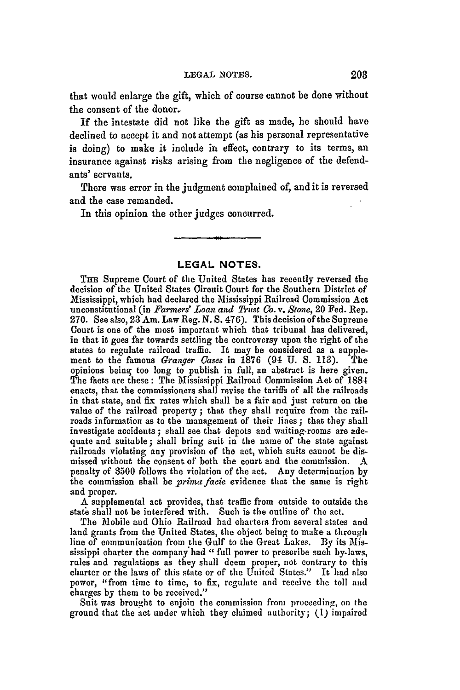that would enlarge the gift, which of course cannot be done without the consent of the donor-

If the intestate did not like the gift as made, he should have declined to accept it and not attempt (as his personal representative is doing) to make it include in effect, contrary to its terms, an insurance against risks arising from the negligence of the defendants' servants.

There was error in the judgment complained of, and it is reversed and the case remanded.

In this opinion the other judges concurred.

## **LEGAL NOTES.**

TnE Supreme Court of the United States has recently reversed the decision of the United States Circuit Court for the Southern District of Mississippi, which had declared the Mississippi Railroad Commission Act unconstitutional (in *Farmers' Loan and Thist Co. v. Stone,* 20 Fed. Rep. **270.** See also, **23** Am. Law Reg. N. S. 476). This decision of the Supreme Court is one of the most important which that tribunal has delivered, in that it goes far towards settling the controversy upon the right of the states to regulate railroad traffic. It may be considered as a supplement to the famous *Granger Cases* in 1876 (94 **U. S. 113).** The opinions being too long to publish in full, an abstract is here given-The facts are these: The Mississippi Railroad Commission Act of **188-1** enacts, that the commissioners shall revise the tariffs of all the railroads in that state, and fix rates which shall be a fair and just return on the value of the railroad property **;** that they shall require from the railroads information as to the management of their lines **;** that they shall investigate accidents; shall see that depots and waiting-rooms are adequate and suitable; shall bring suit in the name of the state against railroads violating any provision of the act, which suits cannot be dismissed without the consent of both the court and the commission. A penalty of \$500 follows the violation of the act. Any determination **by** the commission shall be *primafacie* evidence that the same is right and proper.

A supplemental act provides, that traffic from outside to outside the state shall not be interfered with. Such is the outline of the act.

The Mobile and Ohio Railroad had charters from several states and land grants from the United States, the object being to make a through line of communication from the Gulf to the Great Lakes. **By** its Mississippi charter the company had " full power to prescribe such by-laws, rules and regulations as they shall deem proper, not contrary to this charter or the laws of this state or of the United States." It had also power, "from time to time, to fix, regulate and receive the toll and charges by them to be received."

Suit was brought to enjoin the commission from proceeding, on the ground that the act under which they claimed authority; (I) impaired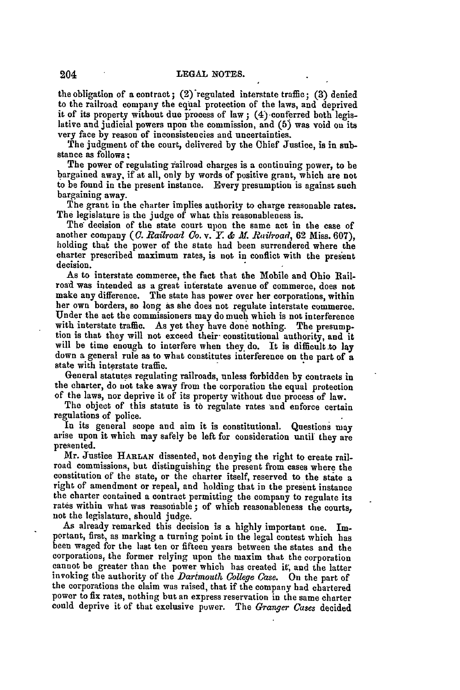the obligation of a contract; (2)'regulated interstate traffic; **(3)** denied to the railroad company the equal protection of the laws, and deprived it of its property without due process of law **;** (4) conferred both legis- lative and judicial powers upon the commission, and **(5)** was void on its very face **by** reason of inconsistencies and uncertainties.

The judgment of the court, delivered **by** the Chief Justice, is in substance as follows **:** The power of regulating Yailroad charges is a continuing power, to be

bargained away, if at all, only **by** words of positive grant, which are not to be found in the present instance. Every presumption is against such bargaining away.

The grant in the charter implies authority to charge reasonable rates. The legislature is the judge of what this reasonableness is.

The decision of the state court upon the same act in the case of another company *(C. Railroad Co. v.* **Y.** *& M. Riilroad,* **62** Miss. **607),** holding that the power of the state had been surrendered where the charter prescribed maximum rates, is not in conflict with the present decision.

As to interstate commerce, the fact that the Mobile and Ohio Railroad was intended as a great interstate avenue of commerce, does not make any difference. The state has power over her corporations, within<br>her own borders, so long as she does not regulate interstate commerce. Under the act the commissioners may do much which is not interference with interstate traffic. As yet they have done nothing. The presumption is that they will not exceed their constitutional authority, and it will be time enough to interfere when they do. It is difficult to lay down a general rule as to what constitutes interference on the part of a state with interstate traffic.

General statutes regulating railroads, unless forbidden **by** contracts in the charter, do *not* take away from the corporation the equal protection of the laws, nor deprive it of its property without due process of law.

The object of this statute is **to** regulate rates and enforce certain

regulations of police.<br>In its general scope and aim it is constitutional. Questions may arise upon it which may safely be left for consideration until they are presented.

Mr. Justice **HARLAN** dissented, not denying the right to create railroad commissions, but distinguishing the present from cases where the constitution of the state, or the charter itself, reserved to the state a right of amendment or repeal, and holding that in the present instance the charter contained a contract permitting the company to regulate its rates within what was reasonable; of which reasonableness the courts, not the legislature, should judge.

As already remarked this decision is a **highly** important one. Important, first, as marking a turning point in the legal contest which has been waged for the last ten or fifteen years between the states and the corporations, the former relying upon the maxim that the corporation cannot be greater than the power which has created **it;** and the latter invoking the authority of the *Dartmouth College Case.* On the part of the corporations the claim was raised, that if the company **had** chartered power to fix rates, nothing but an express reservation in the same charter could deprive it of that exclusive power. The *Granger Cases* decided